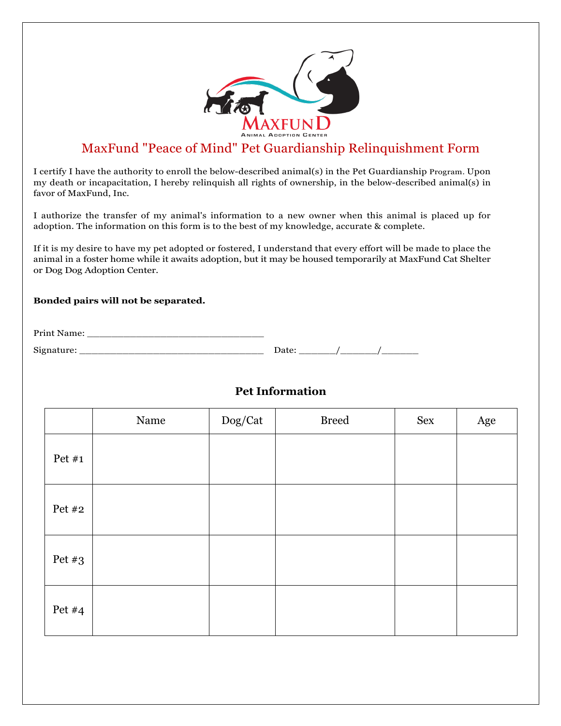

# MaxFund "Peace of Mind" Pet Guardianship Relinquishment Form

I certify I have the authority to enroll the below-described animal(s) in the Pet Guardianship Program. Upon my death or incapacitation, I hereby relinquish all rights of ownership, in the below-described animal(s) in favor of MaxFund, Inc.

I authorize the transfer of my animal's information to a new owner when this animal is placed up for adoption. The information on this form is to the best of my knowledge, accurate & complete.

If it is my desire to have my pet adopted or fostered, I understand that every effort will be made to place the animal in a foster home while it awaits adoption, but it may be housed temporarily at MaxFund Cat Shelter or Dog Dog Adoption Center.

#### **Bonded pairs will not be separated.**

| Print Name: |      |  |
|-------------|------|--|
| Signature:  | Date |  |

#### **Pet Information**

|          | Name | Dog/Cat | <b>Breed</b> | Sex | Age |
|----------|------|---------|--------------|-----|-----|
| Pet $#1$ |      |         |              |     |     |
| Pet #2   |      |         |              |     |     |
| Pet $#3$ |      |         |              |     |     |
| Pet $#4$ |      |         |              |     |     |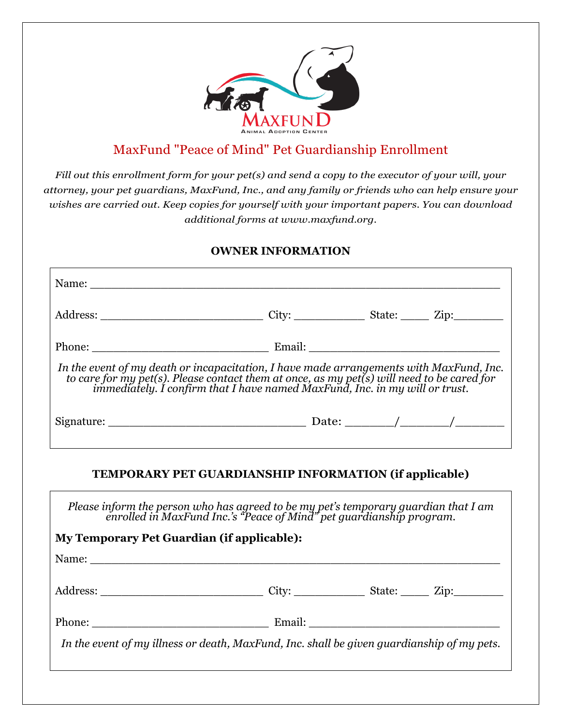

# MaxFund "Peace of Mind" Pet Guardianship Enrollment

*Fill out this enrollment form for your pet(s) and send a copy to the executor of your will, your attorney, your pet guardians, MaxFund, Inc., and any family or friends who can help ensure your wishes are carried out. Keep copies for yourself with your important papers. You can download additional forms at www.maxfund.org.*

#### **OWNER INFORMATION**

| In the event of my death or incapacitation, I have made arrangements with MaxFund, Inc.<br>to care for my pet(s). Please contact them at once, as my pet(s) will need to be cared for<br>immediately. I confirm that I have named Ma |  |
|--------------------------------------------------------------------------------------------------------------------------------------------------------------------------------------------------------------------------------------|--|
|                                                                                                                                                                                                                                      |  |
| Please inform the person who has agreed to be my pet's temporary guardian that I am<br>enrolled in MaxFund Inc.'s "Peace of Mind" pet guardianship program.                                                                          |  |
| <b>My Temporary Pet Guardian (if applicable):</b>                                                                                                                                                                                    |  |
| Name: Name and the second contract of the second contract of the second contract of the second contract of the second contract of the second contract of the second contract of the second contract of the second contract of        |  |
|                                                                                                                                                                                                                                      |  |
|                                                                                                                                                                                                                                      |  |
| In the event of my illness or death, MaxFund, Inc. shall be given guardianship of my pets.                                                                                                                                           |  |
|                                                                                                                                                                                                                                      |  |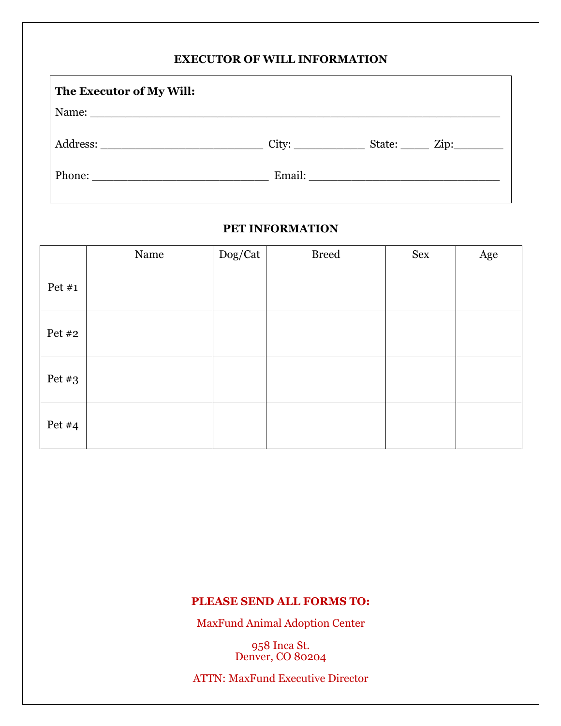## **EXECUTOR OF WILL INFORMATION**

| The Executor of My Will: |                                       |  |
|--------------------------|---------------------------------------|--|
|                          |                                       |  |
|                          | $City:$ State: Zip:                   |  |
|                          | Email: <u>_______________________</u> |  |

#### **PET INFORMATION**

|          | Name | Dog/Cat | <b>Breed</b> | Sex | Age |
|----------|------|---------|--------------|-----|-----|
| Pet $#1$ |      |         |              |     |     |
| Pet #2   |      |         |              |     |     |
| Pet $#3$ |      |         |              |     |     |
| Pet $#4$ |      |         |              |     |     |

# **PLEASE SEND ALL FORMS TO:**

MaxFund Animal Adoption Center

958 Inca St. Denver, CO 80204

ATTN: MaxFund Executive Director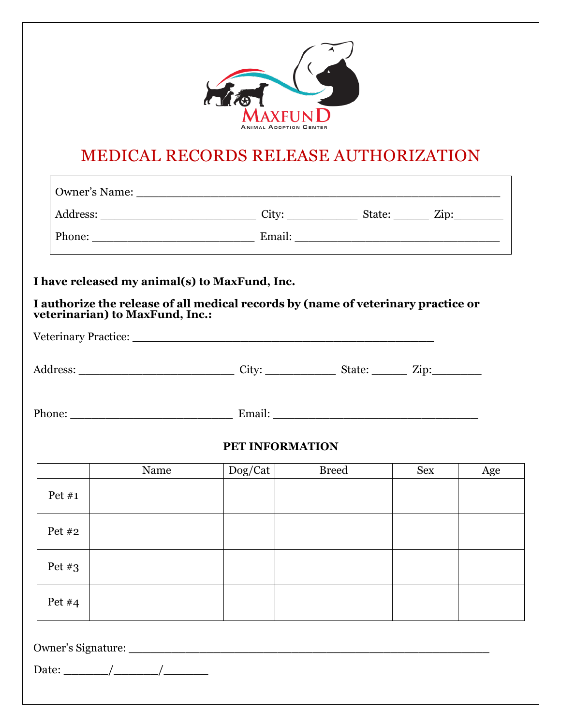

# MEDICAL RECORDS RELEASE AUTHORIZATION

| veterinarian) to MaxFund, Inc.: | I have released my animal(s) to MaxFund, Inc.<br>I authorize the release of all medical records by (name of veterinary practice or |              |                               |     |
|---------------------------------|------------------------------------------------------------------------------------------------------------------------------------|--------------|-------------------------------|-----|
|                                 |                                                                                                                                    |              |                               |     |
|                                 |                                                                                                                                    |              |                               |     |
|                                 |                                                                                                                                    |              |                               |     |
|                                 |                                                                                                                                    |              |                               |     |
|                                 |                                                                                                                                    |              |                               |     |
|                                 |                                                                                                                                    |              |                               |     |
|                                 |                                                                                                                                    |              |                               |     |
| Name                            |                                                                                                                                    | <b>Breed</b> | <b>Sex</b>                    | Age |
|                                 |                                                                                                                                    |              |                               |     |
|                                 |                                                                                                                                    |              |                               |     |
|                                 |                                                                                                                                    |              |                               |     |
|                                 |                                                                                                                                    |              |                               |     |
|                                 |                                                                                                                                    |              | PET INFORMATION<br>$\log/Cat$ |     |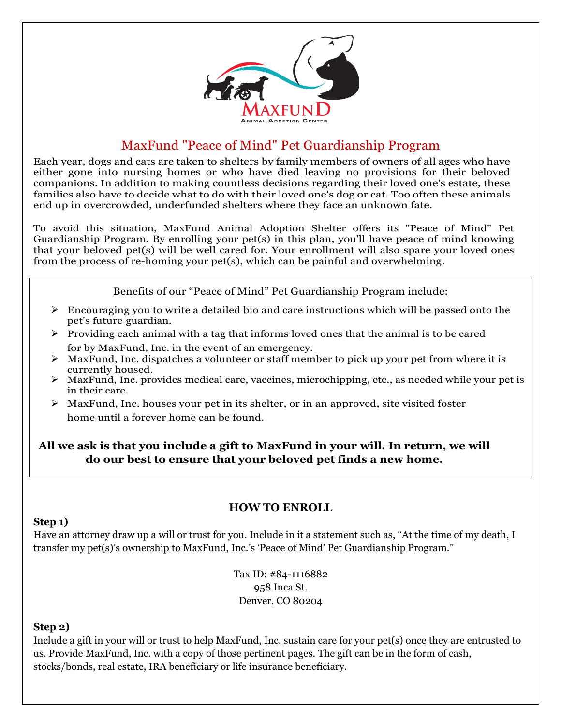

# MaxFund "Peace of Mind" Pet Guardianship Program

Each year, dogs and cats are taken to shelters by family members of owners of all ages who have either gone into nursing homes or who have died leaving no provisions for their beloved companions. In addition to making countless decisions regarding their loved one's estate, these families also have to decide what to do with their loved one's dog or cat. Too often these animals end up in overcrowded, underfunded shelters where they face an unknown fate.

To avoid this situation, MaxFund Animal Adoption Shelter offers its "Peace of Mind" Pet Guardianship Program. By enrolling your pet(s) in this plan, you'll have peace of mind knowing that your beloved pet(s) will be well cared for. Your enrollment will also spare your loved ones from the process of re-homing your pet(s), which can be painful and overwhelming.

#### Benefits of our "Peace of Mind" Pet Guardianship Program include:

- $\triangleright$  Encouraging you to write a detailed bio and care instructions which will be passed onto the pet's future guardian.
- $\triangleright$  Providing each animal with a tag that informs loved ones that the animal is to be cared for by MaxFund, Inc. in the event of an emergency.
- $\triangleright$  MaxFund, Inc. dispatches a volunteer or staff member to pick up your pet from where it is currently housed.
- $\triangleright$  MaxFund, Inc. provides medical care, vaccines, microchipping, etc., as needed while your pet is in their care.
- $\triangleright$  MaxFund, Inc. houses your pet in its shelter, or in an approved, site visited foster home until a forever home can be found.

### **All we ask is that you include a gift to MaxFund in your will. In return, we will do our best to ensure that your beloved pet finds a new home.**

### **HOW TO ENROLL**

#### **Step 1)**

Have an attorney draw up a will or trust for you. Include in it a statement such as, "At the time of my death, I transfer my pet(s)'s ownership to MaxFund, Inc.'s 'Peace of Mind' Pet Guardianship Program."

> Tax ID: #84-1116882 958 Inca St. Denver, CO 80204

#### **Step 2)**

Include a gift in your will or trust to help MaxFund, Inc. sustain care for your pet(s) once they are entrusted to us. Provide MaxFund, Inc. with a copy of those pertinent pages. The gift can be in the form of cash, stocks/bonds, real estate, IRA beneficiary or life insurance beneficiary.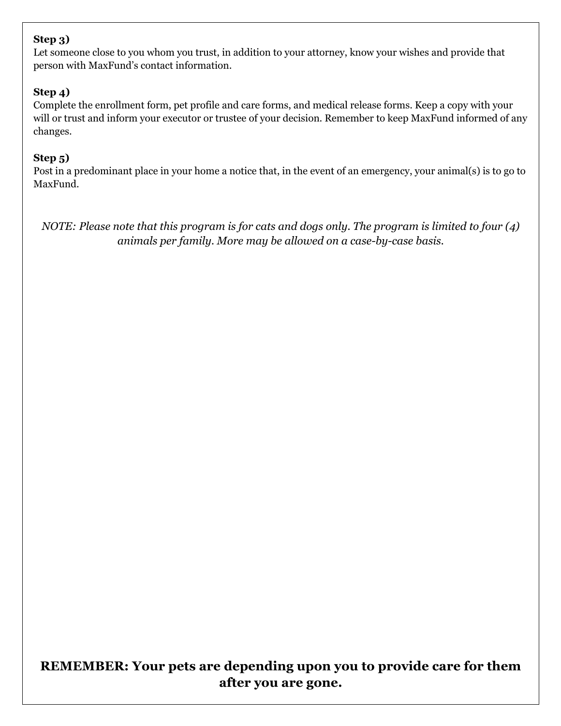# **Step 3)**

Let someone close to you whom you trust, in addition to your attorney, know your wishes and provide that person with MaxFund's contact information.

## **Step 4)**

Complete the enrollment form, pet profile and care forms, and medical release forms. Keep a copy with your will or trust and inform your executor or trustee of your decision. Remember to keep MaxFund informed of any changes.

### **Step 5)**

Post in a predominant place in your home a notice that, in the event of an emergency, your animal(s) is to go to MaxFund.

*NOTE: Please note that this program is for cats and dogs only. The program is limited to four (4) animals per family. More may be allowed on a case-by-case basis.*

# **REMEMBER: Your pets are depending upon you to provide care for them after you are gone.**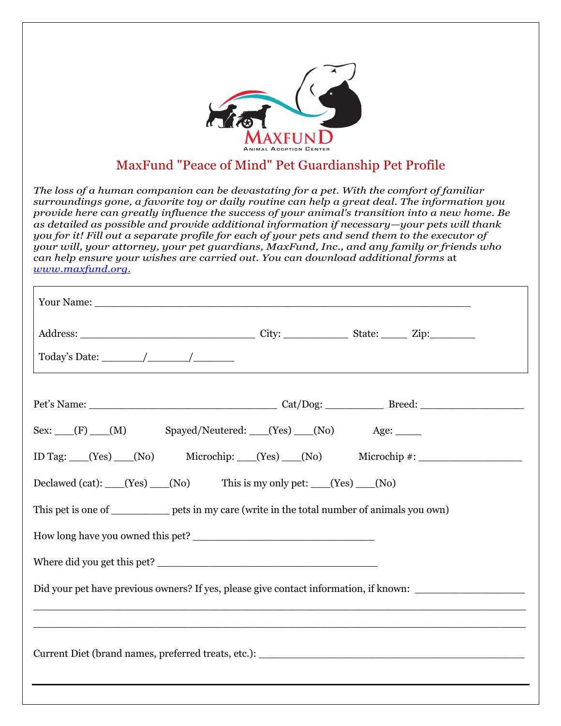

# MaxFund "Peace of Mind" Pet Guardianship Pet Profile

*The loss of a human companion can be devastating for a pet. With the comfort of familiar surroundings gone, a favorite toy or daily routine can help a great deal. The information you provide here can greatly influence the success of your animal's transition into a new home. Be as detailed as possible and provide additional information if necessary—your pets will thank you for it! Fill out a separate profile for each of your pets and send them to the executor of your will, your attorney, your pet guardians, MaxFund, Inc., and any family or friends who can help ensure your wishes are carried out. You can download additional forms* at *www.maxfund.org.*

| Today's Date: $\frac{\sqrt{2\pi}}{2\pi}$                                                                                 |  |  |
|--------------------------------------------------------------------------------------------------------------------------|--|--|
|                                                                                                                          |  |  |
| Sex: (F) (M) Spayed/Neutered: (Yes) (No) Age:                                                                            |  |  |
| ID Tag: (Yes) (No) Microchip: (Yes) (No) Microchip #:                                                                    |  |  |
| Declawed (cat): $(Yes)$ (No) This is my only pet: $(Yes)$ (No)                                                           |  |  |
| This pet is one of ____________ pets in my care (write in the total number of animals you own)                           |  |  |
|                                                                                                                          |  |  |
|                                                                                                                          |  |  |
| Did your pet have previous owners? If yes, please give contact information, if known:                                    |  |  |
|                                                                                                                          |  |  |
| Current Diet (brand names, preferred treats, etc.): Names and South Assembly Diet (brand names, preferred treats, etc.): |  |  |
|                                                                                                                          |  |  |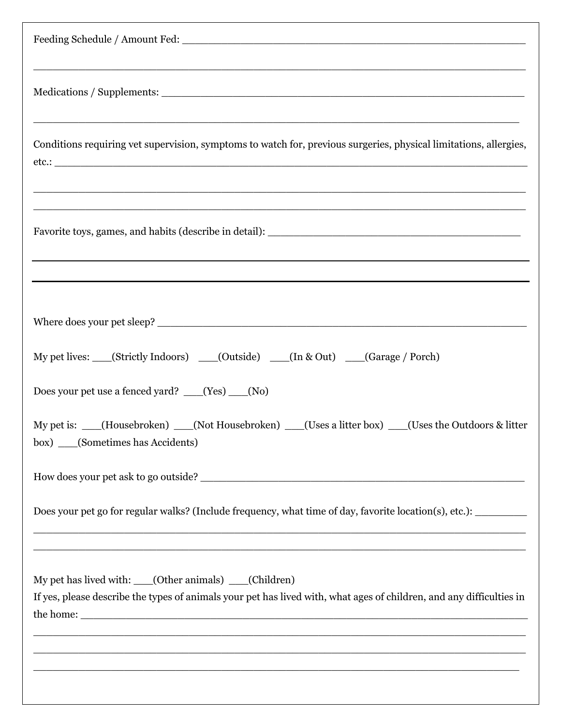| <u> 1989 - Johann John Stone, Amerikaansk politiker (* 1989)</u>                                                                                                                                                                                                                                                                                                                                                                 |
|----------------------------------------------------------------------------------------------------------------------------------------------------------------------------------------------------------------------------------------------------------------------------------------------------------------------------------------------------------------------------------------------------------------------------------|
| ,我们也不能在这里,我们也不能在这里的时候,我们也不能会不能会不能会不能会不能会不能会不能会不能会不能会不能会。""我们,我们也不能会不能会不能会不能会不能会不<br>Conditions requiring vet supervision, symptoms to watch for, previous surgeries, physical limitations, allergies,<br>$etc.:$ and $C.$                                                                                                                                                                                                        |
| <u> 1989 - Francis II.a, martin da basar da basa da basa da basa da basa da basa da basa da basa da basa da</u>                                                                                                                                                                                                                                                                                                                  |
|                                                                                                                                                                                                                                                                                                                                                                                                                                  |
| My pet lives: __(Strictly Indoors) __(Outside) __(In & Out) __(Garage / Porch)                                                                                                                                                                                                                                                                                                                                                   |
| Does your pet use a fenced yard? ___(Yes) __(No)                                                                                                                                                                                                                                                                                                                                                                                 |
| My pet is:<br>(Housebroken)<br>(Not Housebroken)<br>(Uses a litter box)<br>(Uses the Outdoors & litter<br>box) ____(Sometimes has Accidents)                                                                                                                                                                                                                                                                                     |
|                                                                                                                                                                                                                                                                                                                                                                                                                                  |
| Does your pet go for regular walks? (Include frequency, what time of day, favorite location(s), etc.): _______                                                                                                                                                                                                                                                                                                                   |
| <u> 1999 - Jan James James James James James James James James James James James James James James James James</u><br>My pet has lived with: ____(Other animals) ____(Children)<br>If yes, please describe the types of animals your pet has lived with, what ages of children, and any difficulties in<br><u> 1989 - Andrea Stadt Barbara, amerikan basar dan berasal dalam berasal dalam basa dalam basa dalam basa dalam </u> |
|                                                                                                                                                                                                                                                                                                                                                                                                                                  |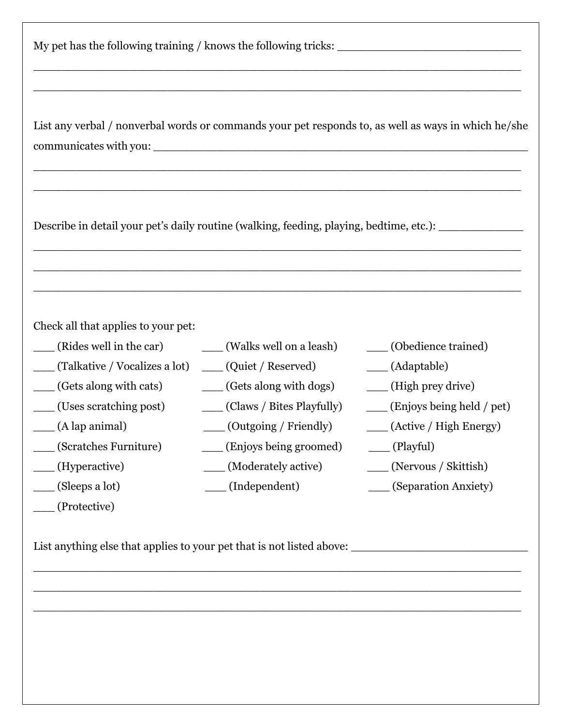| My pet has the following training / knows the following tricks: |  |
|-----------------------------------------------------------------|--|
|                                                                 |  |

List any verbal / nonverbal words or commands your pet responds to, as well as ways in which he/she communicates with you: \_\_\_\_\_\_\_\_\_\_\_\_\_\_\_\_\_\_\_\_\_\_\_\_\_\_\_\_\_\_\_\_\_\_\_\_\_\_\_\_\_\_\_\_\_\_\_\_\_\_\_\_\_

 $\_$  , and the contribution of the contribution of  $\overline{a}$  , and  $\overline{a}$  , and  $\overline{a}$  , and  $\overline{a}$  , and  $\overline{a}$  , and  $\overline{a}$  , and  $\overline{a}$  , and  $\overline{a}$  , and  $\overline{a}$  , and  $\overline{a}$  , and  $\overline{a}$  , and  $\overline{a$ 

\_\_\_\_\_\_\_\_\_\_\_\_\_\_\_\_\_\_\_\_\_\_\_\_\_\_\_\_\_\_\_\_\_\_\_\_\_\_\_\_\_\_\_\_\_\_\_\_\_\_\_\_\_\_\_\_\_\_\_\_\_\_\_\_\_\_\_\_\_

 $\_$  , and the contribution of the contribution of  $\overline{a}$  , and  $\overline{a}$  , and  $\overline{a}$  , and  $\overline{a}$  , and  $\overline{a}$  , and  $\overline{a}$  , and  $\overline{a}$  , and  $\overline{a}$  , and  $\overline{a}$  , and  $\overline{a}$  , and  $\overline{a}$  , and  $\overline{a$ 

\_\_\_\_\_\_\_\_\_\_\_\_\_\_\_\_\_\_\_\_\_\_\_\_\_\_\_\_\_\_\_\_\_\_\_\_\_\_\_\_\_\_\_\_\_\_\_\_\_\_\_\_\_\_\_\_\_\_\_\_\_\_\_\_\_\_\_\_\_

\_\_\_\_\_\_\_\_\_\_\_\_\_\_\_\_\_\_\_\_\_\_\_\_\_\_\_\_\_\_\_\_\_\_\_\_\_\_\_\_\_\_\_\_\_\_\_\_\_\_\_\_\_\_\_\_\_\_\_\_\_\_\_\_\_\_\_\_\_

 $\_$  , and the contribution of the contribution of  $\overline{a}$  , and  $\overline{a}$  , and  $\overline{a}$  , and  $\overline{a}$  , and  $\overline{a}$  , and  $\overline{a}$  , and  $\overline{a}$  , and  $\overline{a}$  , and  $\overline{a}$  , and  $\overline{a}$  , and  $\overline{a}$  , and  $\overline{a$ 

 $\_$  , and the contribution of the contribution of  $\overline{a}$  , and  $\overline{a}$  , and  $\overline{a}$  , and  $\overline{a}$  , and  $\overline{a}$  , and  $\overline{a}$  , and  $\overline{a}$  , and  $\overline{a}$  , and  $\overline{a}$  , and  $\overline{a}$  , and  $\overline{a}$  , and  $\overline{a$ 

Describe in detail your pet's daily routine (walking, feeding, playing, bedtime, etc.): \_\_\_\_\_\_\_\_\_\_\_

Check all that applies to your pet:

\_\_\_ (Protective)

| (Rides well in the car)                          | (Walks well on a leash)         | (Obedience trained)         |
|--------------------------------------------------|---------------------------------|-----------------------------|
| (Talkative / Vocalizes a lot) (Quiet / Reserved) |                                 | (Adaptable)                 |
| (Gets along with cats)                           | (Gets along with dogs)          | (High prey drive)           |
| (Uses scratching post)                           | _____ (Claws / Bites Playfully) | (Enjoys being held / pet)   |
| $\_\_$ (A lap animal)                            | ____ (Outgoing / Friendly)      | ____ (Active / High Energy) |
| (Scratches Furniture)                            | (Enjoys being groomed)          | $\_\_$ (Playful)            |
| (Hyperactive)                                    | (Moderately active)             | ____ (Nervous / Skittish)   |
| $\qquad \qquad \text{(Sleeps a lot)}$            | (Independent)                   | (Separation Anxiety)        |
|                                                  |                                 |                             |

 $\_$  , and the set of the set of the set of the set of the set of the set of the set of the set of the set of the set of the set of the set of the set of the set of the set of the set of the set of the set of the set of th

 $\_$  , and the contribution of the contribution of  $\overline{a}$  , and  $\overline{a}$  , and  $\overline{a}$  , and  $\overline{a}$  , and  $\overline{a}$  , and  $\overline{a}$  , and  $\overline{a}$  , and  $\overline{a}$  , and  $\overline{a}$  , and  $\overline{a}$  , and  $\overline{a}$  , and  $\overline{a$ 

 $\_$  , and the contribution of the contribution of  $\overline{a}$  , and  $\overline{a}$  , and  $\overline{a}$  , and  $\overline{a}$  , and  $\overline{a}$  , and  $\overline{a}$  , and  $\overline{a}$  , and  $\overline{a}$  , and  $\overline{a}$  , and  $\overline{a}$  , and  $\overline{a}$  , and  $\overline{a$ 

List anything else that applies to your pet that is not listed above: \_\_\_\_\_\_\_\_\_\_\_\_\_\_\_\_\_\_\_\_\_\_\_\_\_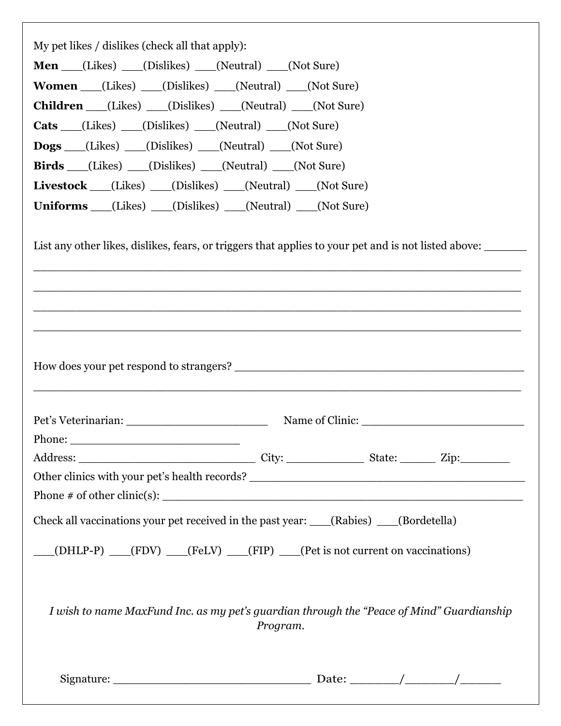| My pet likes / dislikes (check all that apply):<br><b>Men</b> (Likes) (Dislikes) (Neutral) (Not Sure)                                                                                                                         |
|-------------------------------------------------------------------------------------------------------------------------------------------------------------------------------------------------------------------------------|
| <b>Women</b> (Likes) (Dislikes) (Neutral) (Not Sure)                                                                                                                                                                          |
| <b>Children</b> (Likes) (Dislikes) (Neutral) (Not Sure)                                                                                                                                                                       |
| Cats (Likes) (Dislikes) (Neutral) (Not Sure)                                                                                                                                                                                  |
| <b>Dogs</b> (Likes) (Dislikes) (Neutral) (Not Sure)                                                                                                                                                                           |
| <b>Birds</b> (Likes) (Dislikes) (Neutral) (Not Sure)                                                                                                                                                                          |
| <b>Livestock</b> (Likes) (Dislikes) (Neutral) (Not Sure)                                                                                                                                                                      |
| Uniforms (Likes) (Dislikes) (Neutral) (Not Sure)                                                                                                                                                                              |
|                                                                                                                                                                                                                               |
| List any other likes, dislikes, fears, or triggers that applies to your pet and is not listed above:<br><u> 1989 - Johann Stoff, deutscher Stoff, der Stoff, der Stoff, der Stoff, der Stoff, der Stoff, der Stoff, der S</u> |
|                                                                                                                                                                                                                               |
|                                                                                                                                                                                                                               |
|                                                                                                                                                                                                                               |
|                                                                                                                                                                                                                               |
| Check all vaccinations your pet received in the past year: ___(Rabies) ___(Bordetella)                                                                                                                                        |
| (DHLP-P) (FDV) (FeLV) (FIP) (Pet is not current on vaccinations)                                                                                                                                                              |
| I wish to name MaxFund Inc. as my pet's guardian through the "Peace of Mind" Guardianship<br>Program.                                                                                                                         |